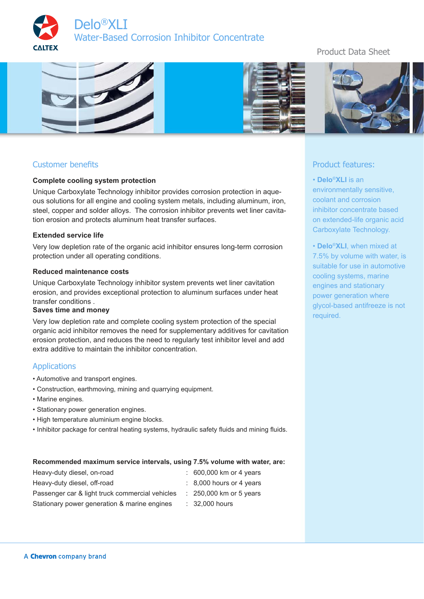



# Customer benefits

### **Complete cooling system protection**

Unique Carboxylate Technology inhibitor provides corrosion protection in aqueous solutions for all engine and cooling system metals, including aluminum, iron, steel, copper and solder alloys. The corrosion inhibitor prevents wet liner cavitation erosion and protects aluminum heat transfer surfaces.

#### **Extended service life**

Very low depletion rate of the organic acid inhibitor ensures long-term corrosion protection under all operating conditions.

#### **Reduced maintenance costs**

Unique Carboxylate Technology inhibitor system prevents wet liner cavitation erosion, and provides exceptional protection to aluminum surfaces under heat transfer conditions .

### **Saves time and money**

Very low depletion rate and complete cooling system protection of the special organic acid inhibitor removes the need for supplementary additives for cavitation erosion protection, and reduces the need to regularly test inhibitor level and add extra additive to maintain the inhibitor concentration.

### Applications

- Automotive and transport engines.
- Construction, earthmoving, mining and quarrying equipment.
- Marine engines.
- Stationary power generation engines.
- High temperature aluminium engine blocks.
- Inhibitor package for central heating systems, hydraulic safety fluids and mining fluids.

#### **Recommended maximum service intervals, using 7.5% volume with water, are:**

| Heavy-duty diesel, on-road                      | : 600,000 km or 4 years             |
|-------------------------------------------------|-------------------------------------|
| Heavy-duty diesel, off-road                     | $\therefore$ 8,000 hours or 4 years |
| Passenger car & light truck commercial vehicles | $\therefore$ 250,000 km or 5 years  |
| Stationary power generation & marine engines    | $\therefore$ 32,000 hours           |

# Product Data Sheet



### Product features:

• **Delo**®**XLI** is an environmentally sensitive, coolant and corrosion inhibitor concentrate based on extended-life organic acid Carboxylate Technology.

• **Delo**®**XLI**, when mixed at 7.5% by volume with water, is suitable for use in automotive cooling systems, marine engines and stationary power generation where glycol-based antifreeze is not required.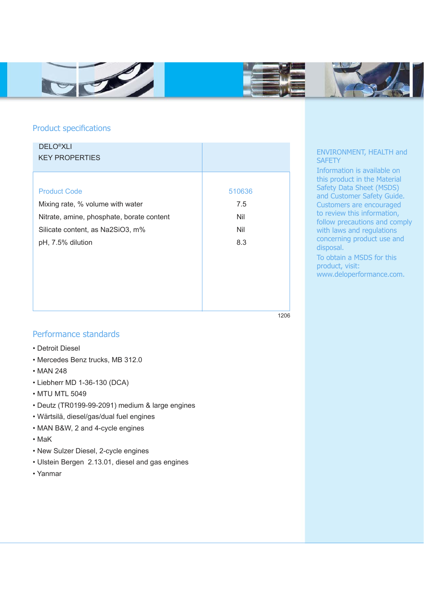



1206



# Product specifications

| <b>DELO<sup>®</sup>XLI</b><br><b>KEY PROPERTIES</b> |        |
|-----------------------------------------------------|--------|
| <b>Product Code</b>                                 | 510636 |
| Mixing rate, % volume with water                    | 7.5    |
| Nitrate, amine, phosphate, borate content           | Nil    |
| Silicate content, as Na2SiO3, m%                    | Nil    |
| pH, 7.5% dilution                                   | 8.3    |

### ENVIRONMENT, HEALTH and **SAFETY**

Information is available on this product in the Material Safety Data Sheet (MSDS) and Customer Safety Guide. Customers are encouraged to review this information, follow precautions and comply with laws and regulations concerning product use and disposal. To obtain a MSDS for this product, visit:

www.deloperformance.com.

# Performance standards

- Detroit Diesel
- Mercedes Benz trucks, MB 312.0
- MAN 248
- Liebherr MD 1-36-130 (DCA)
- MTU MTL 5049
- Deutz (TR0199-99-2091) medium & large engines
- Wärtsilä, diesel/gas/dual fuel engines
- MAN B&W, 2 and 4-cycle engines
- MaK
- New Sulzer Diesel, 2-cycle engines
- Ulstein Bergen 2.13.01, diesel and gas engines
- Yanmar